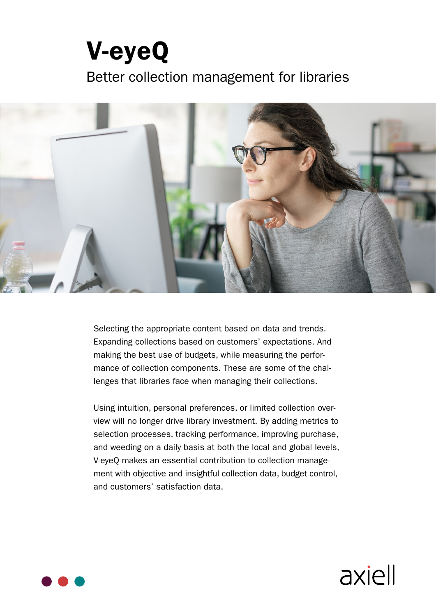# **V-eyeQ** Better collection management for libraries



Selecting the appropriate content based on data and trends. Expanding collections based on customers' expectations. And lenges that libraries face when managing their collections. mance of collection components. These are some of the chalmaking the best use of budgets, while measuring the perfor-

view will no longer drive library investment. By adding metrics to Using intuition, personal preferences, or limited collection overselection processes, tracking performance, improving purchase, and weeding on a daily basis at both the local and global levels, ment with objective and insightful collection data, budget control, V-eyeQ makes an essential contribution to collection manageand customers' satisfaction data.

axiell

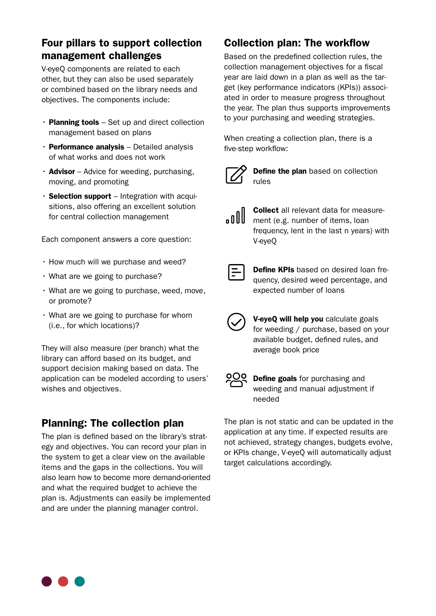# Four pillars to support collection management challenges

V-eyeQ components are related to each other, but they can also be used separately or combined based on the library needs and objectives. The components include:

- $\cdot$  Planning tools Set up and direct collection management based on plans
- $\cdot$  Performance analysis Detailed analysis of what works and does not work
- $\cdot$  Advisor Advice for weeding, purchasing, moving, and promoting
- sitions, also offering an excellent solution • Selection support – Integration with acquifor central collection management

Each component answers a core question:

- $\cdot$  How much will we purchase and weed?
- What are we going to purchase?
- $\cdot$  What are we going to purchase, weed, move, or promote?
- $\cdot$  What are we going to purchase for whom  $(i.e., for which locations)?$

They will also measure (per branch) what the library can afford based on its budget, and support decision making based on data. The application can be modeled according to users' wishes and objectives.

# Planning: The collection plan

egy and objectives. You can record your plan in The plan is defined based on the library's stratthe system to get a clear view on the available items and the gaps in the collections. You will also learn how to become more demand-oriented and what the required budget to achieve the plan is. Adjustments can easily be implemented and are under the planning manager control.

# Collection plan: The workflow

Based on the predefined collection rules, the collection management objectives for a fiscal get (key performance indicators (KPIs)) associated in order to measure progress throughout year are laid down in a plan as well as the tar-<br>get (key performance indicators (KPIs)) associ the year. The plan thus supports improvements to your purchasing and weeding strategies.

When creating a collection plan, there is a five-step workflow:



Define the plan based on collection rules

| $\sqrt{100}$ |  |  |
|--------------|--|--|
|              |  |  |

ment (e.g. number of items, loan **Collect** all relevant data for measurefrequency, lent in the last n years) with V-eyeQ

quency, desired weed percentage, and **Define KPIs** based on desired loan freexpected number of loans

V-eyeQ will help you calculate goals for weeding / purchase, based on your available budget, defined rules, and average book price



**Define goals** for purchasing and weeding and manual adjustment if needed

The plan is not static and can be updated in the application at any time. If expected results are not achieved, strategy changes, budgets evolve, or KPIs change, V-eyeQ will automatically adjust target calculations accordingly.

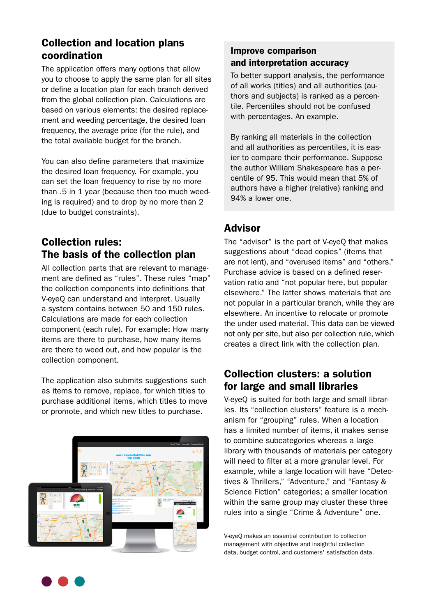# **Collection and location plans** coordination

The application offers many options that allow you to choose to apply the same plan for all sites or define a location plan for each branch derived from the global collection plan. Calculations are ment and weeding percentage, the desired loan based on various elements: the desired replacefrequency, the average price (for the rule), and the total available budget for the branch.

You can also define parameters that maximize the desired loan frequency. For example, you can set the loan frequency to rise by no more ing is required) and to drop by no more than 2 than  $.5$  in 1 year (because then too much weed-(due to budget constraints).

# **Collection rules:** The basis of the collection plan

ment are defined as "rules". These rules "map" All collection parts that are relevant to managethe collection components into definitions that V-eyeQ can understand and interpret. Usually a system contains between 50 and 150 rules. Calculations are made for each collection component (each rule). For example: How many items are there to purchase, how many items are there to weed out, and how popular is the collection component.

The application also submits suggestions such as items to remove, replace, for which titles to purchase additional items, which titles to move or promote, and which new titles to purchase.



#### Improve comparison and interpretation accuracy

To better support analysis, the performance tile. Percentiles should not be confused thors and subjects) is ranked as a percenof all works (titles) and all authorities (auwith percentages. An example.

By ranking all materials in the collection ier to compare their performance. Suppose and all authorities as percentiles, it is eascentile of 95. This would mean that 5% of the author William Shakespeare has a perauthors have a higher (relative) ranking and 94% a lower one.

#### Advisor

The "advisor" is the part of V-eyeQ that makes suggestions about "dead copies" (items that are not lent), and "overused items" and "others." vation ratio and "not popular here, but popular Purchase advice is based on a defined reserelsewhere." The latter shows materials that are not popular in a particular branch, while they are elsewhere. An incentive to relocate or promote the under used material. This data can be viewed not only per site, but also per collection rule, which creates a direct link with the collection plan.

# Collection clusters: a solution for large and small libraries

anism for "grouping" rules. When a location ies. Its "collection clusters" feature is a mech-V-eyeQ is suited for both large and small librarhas a limited number of items, it makes sense to combine subcategories whereas a large library with thousands of materials per category will need to filter at a more granular level. For tives & Thrillers," "Adventure," and "Fantasy & example, while a large location will have "Detec-Science Fiction" categories; a smaller location within the same group may cluster these three rules into a single "Crime & Adventure" one.

V-eveO makes an essential contribution to collection management with objective and insightful collection data, budget control, and customers' satisfaction data.